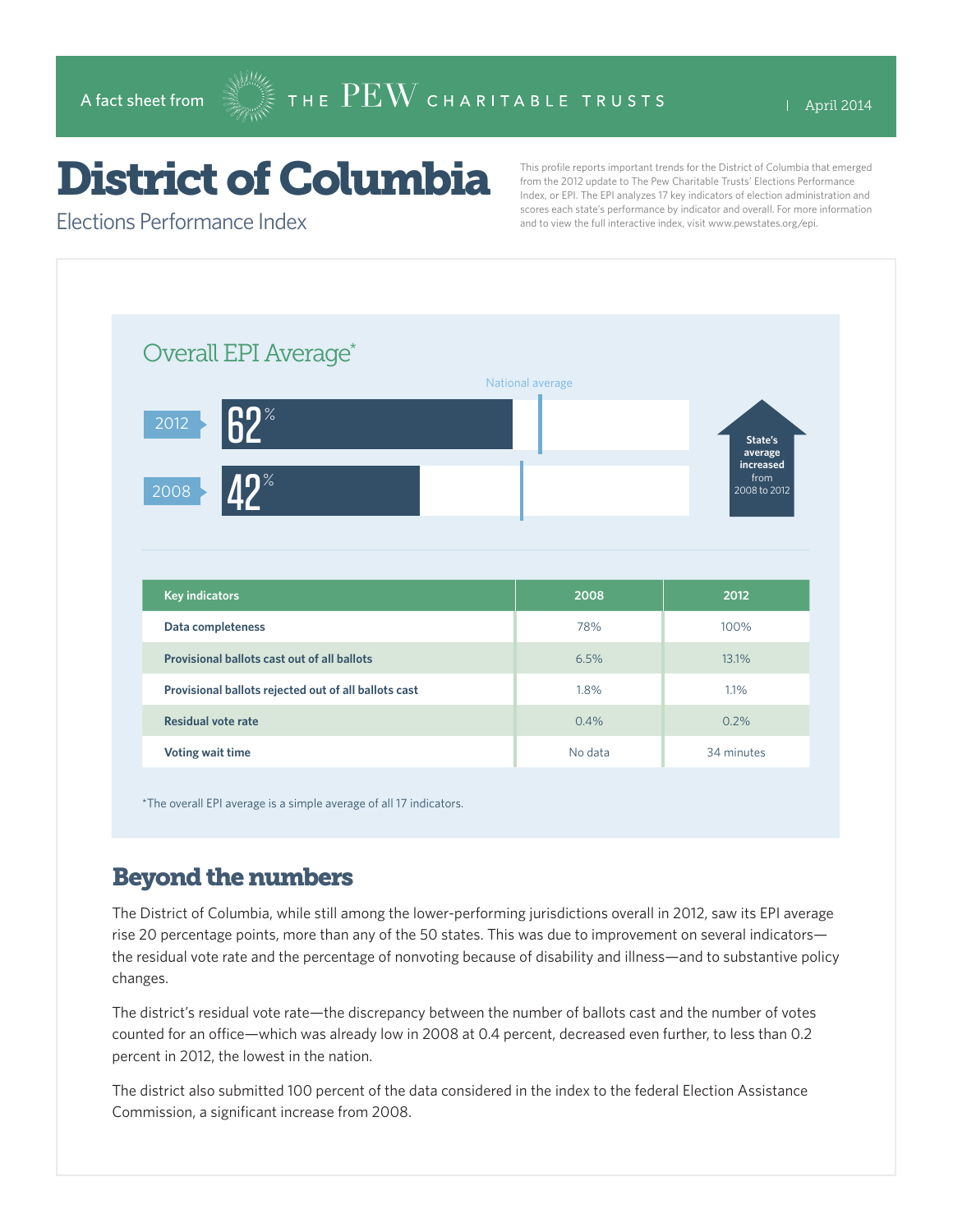# District of Columbia

This profile reports important trends for the District of Columbia that emerged from the 2012 update to The Pew Charitable Trusts' Elections Performance Index, or EPI. The EPI analyzes 17 key indicators of election administration and scores each state's performance by indicator and overall. For more information and to view the full interactive index, visit www.pewstates.org/epi.

Elections Performance Index

| Overall EPI Average*                                 | National average |                                                         |
|------------------------------------------------------|------------------|---------------------------------------------------------|
| $R2^*$<br> 2012 <br><b>YD%</b><br>2008               |                  | State's<br>average<br>increased<br>from<br>2008 to 2012 |
|                                                      |                  |                                                         |
| <b>Key indicators</b>                                | 2008             | 2012                                                    |
| Data completeness                                    | 78%              | 100%                                                    |
| Provisional ballots cast out of all ballots          | 6.5%             | 13.1%                                                   |
| Provisional ballots rejected out of all ballots cast | 1.8%             | 1.1%                                                    |
| <b>Residual vote rate</b>                            | 0.4%             | 0.2%                                                    |

\*The overall EPI average is a simple average of all 17 indicators.

#### Beyond the numbers

The District of Columbia, while still among the lower-performing jurisdictions overall in 2012, saw its EPI average rise 20 percentage points, more than any of the 50 states. This was due to improvement on several indicators the residual vote rate and the percentage of nonvoting because of disability and illness—and to substantive policy changes.

The district's residual vote rate—the discrepancy between the number of ballots cast and the number of votes counted for an office—which was already low in 2008 at 0.4 percent, decreased even further, to less than 0.2 percent in 2012, the lowest in the nation.

The district also submitted 100 percent of the data considered in the index to the federal Election Assistance Commission, a significant increase from 2008.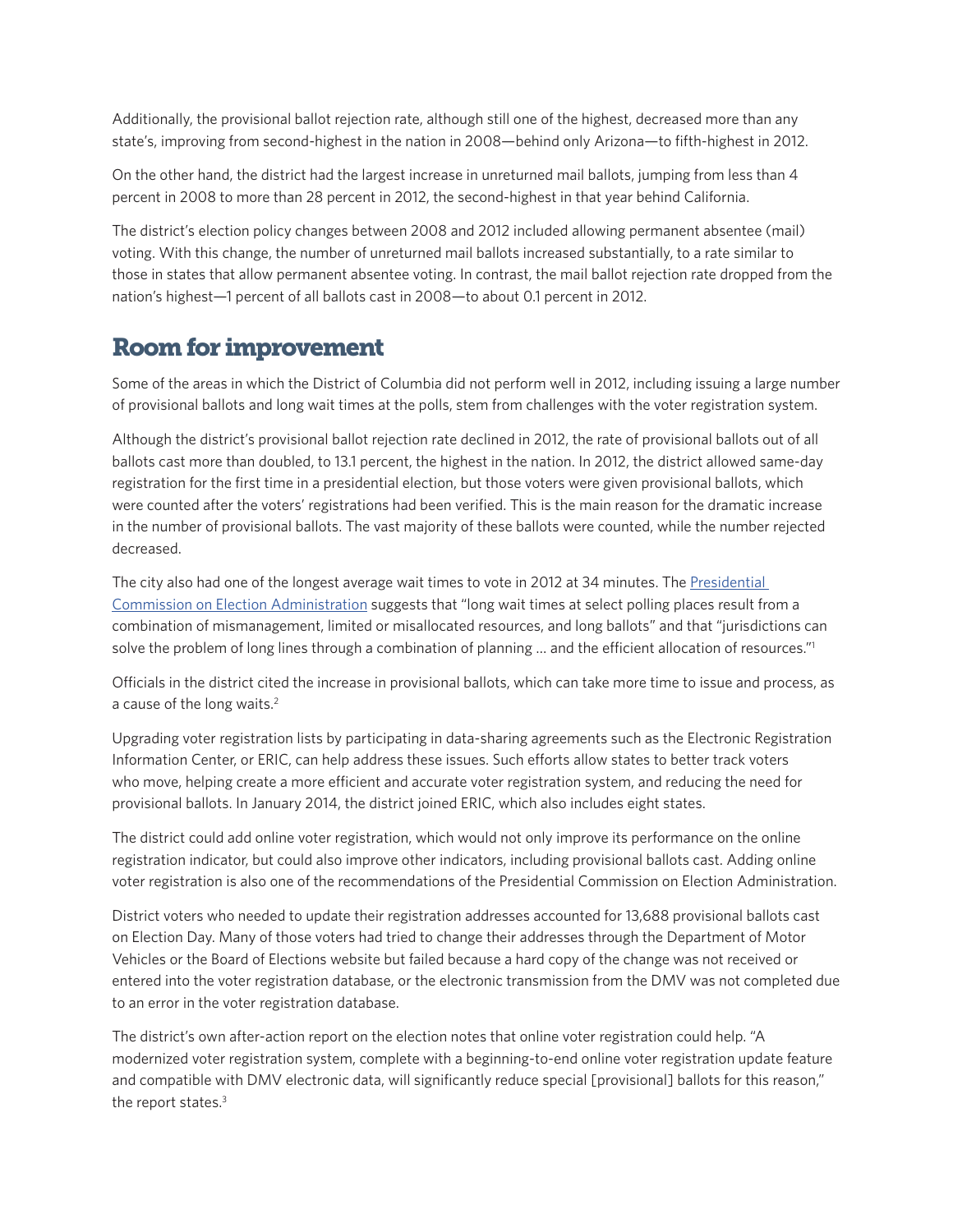Additionally, the provisional ballot rejection rate, although still one of the highest, decreased more than any state's, improving from second-highest in the nation in 2008—behind only Arizona—to fifth-highest in 2012.

On the other hand, the district had the largest increase in unreturned mail ballots, jumping from less than 4 percent in 2008 to more than 28 percent in 2012, the second-highest in that year behind California.

The district's election policy changes between 2008 and 2012 included allowing permanent absentee (mail) voting. With this change, the number of unreturned mail ballots increased substantially, to a rate similar to those in states that allow permanent absentee voting. In contrast, the mail ballot rejection rate dropped from the nation's highest—1 percent of all ballots cast in 2008—to about 0.1 percent in 2012.

## Room for improvement

Some of the areas in which the District of Columbia did not perform well in 2012, including issuing a large number of provisional ballots and long wait times at the polls, stem from challenges with the voter registration system.

Although the district's provisional ballot rejection rate declined in 2012, the rate of provisional ballots out of all ballots cast more than doubled, to 13.1 percent, the highest in the nation. In 2012, the district allowed same-day registration for the first time in a presidential election, but those voters were given provisional ballots, which were counted after the voters' registrations had been verified. This is the main reason for the dramatic increase in the number of provisional ballots. The vast majority of these ballots were counted, while the number rejected decreased.

The city also had one of the longest average wait times to vote in 2012 at 34 minutes. The Presidential [Commission on Election Administration](www.supportthevoter.gov/) suggests that "long wait times at select polling places result from a combination of mismanagement, limited or misallocated resources, and long ballots" and that "jurisdictions can solve the problem of long lines through a combination of planning … and the efficient allocation of resources."1

Officials in the district cited the increase in provisional ballots, which can take more time to issue and process, as a cause of the long waits.<sup>2</sup>

Upgrading voter registration lists by participating in data-sharing agreements such as the Electronic Registration Information Center, or ERIC, can help address these issues. Such efforts allow states to better track voters who move, helping create a more efficient and accurate voter registration system, and reducing the need for provisional ballots. In January 2014, the district joined ERIC, which also includes eight states.

The district could add online voter registration, which would not only improve its performance on the online registration indicator, but could also improve other indicators, including provisional ballots cast. Adding online voter registration is also one of the recommendations of the Presidential Commission on Election Administration.

District voters who needed to update their registration addresses accounted for 13,688 provisional ballots cast on Election Day. Many of those voters had tried to change their addresses through the Department of Motor Vehicles or the Board of Elections website but failed because a hard copy of the change was not received or entered into the voter registration database, or the electronic transmission from the DMV was not completed due to an error in the voter registration database.

The district's own after-action report on the election notes that online voter registration could help. "A modernized voter registration system, complete with a beginning-to-end online voter registration update feature and compatible with DMV electronic data, will significantly reduce special [provisional] ballots for this reason," the report states.<sup>3</sup>